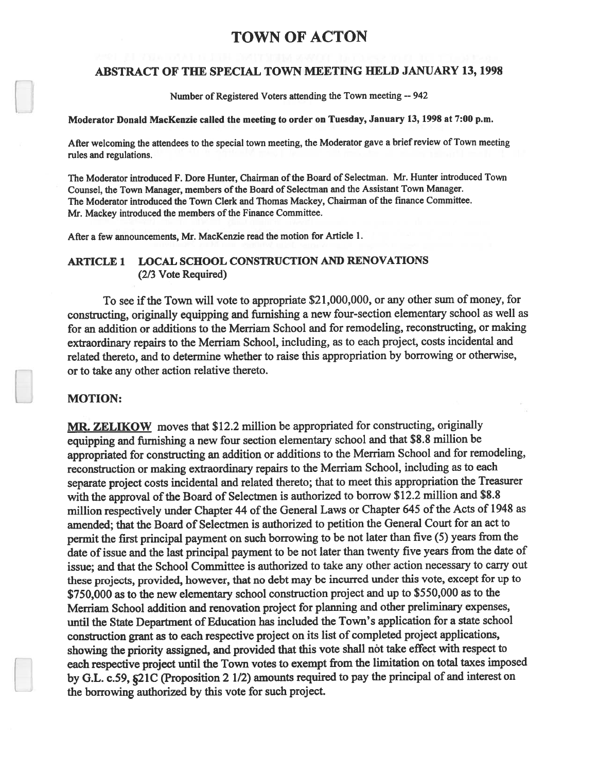# TOWN OF ACTON

#### ABSTRACT OF THE SPECIAL TOWN MEETING HELD JANUARY 13, 1998

Number of Registered Voters attending the Town meeting -- 942

## Moderator Donald MacKenzie called the meeting to order on Tuesday, January 13, 1998 at 7:00 p.m.

After welcoming the attendees to the special town meeting, the Moderator gave <sup>a</sup> brief review of Town meeting rules and regulations.

The Moderator introduced F. Dore Hunter, Chairman of the Board of Selectman. Mr. Hunter introduced Town Counsel, the Town Manager, members of the Board of Selectman and the Assistant Town Manager. The Moderator introduced the Town Clerk and Thomas Mackey, Chairman of the fmance Committee. Mr. Mackey introduced the members of the Finance Committee.

After <sup>a</sup> few announcements, Mr. MacKenzie read the motion for Article 1.

#### ARTICLE 1 LOCAL SCHOOL CONSTRUCTION AND RENOVATIONS (2/3 Vote Required)

To see if the Town will vote to appropriate \$21,000,000, or any other sum of money, for constructing, originally equipping and furnishing <sup>a</sup> new four-section elementary school as well as for an addition or additions to the Merriam School and for remodeling, reconstructing, or making extraordinary repairs to the Merriam School, including, as to each project, costs incidental and related thereto, and to determine whether to raise this appropriation by borrowing or otherwise, or to take any other action relative thereto.

#### MOTION:

MR. ZELIKOW moves that \$12.2 million be appropriated for constructing, originally equipping and furnishing <sup>a</sup> new four section elementary school and that \$8.8 million be appropriated for constructing an addition or additions to the Merriam School and for remodeling, reconstruction or making extraordinary repairs to the Merriam School, including as to each separate project costs incidental and related thereto; that to meet this appropriation the Treasurer with the approval of the Board of Selectmen is authorized to borrow \$12.2 million and \$8.8 million respectively under Chapter 44 of the General Laws or Chapter 645 of the Acts of 1948 as amended; that the Board of Selectmen is authorized to petition the General Court for an act to permit the first principal paymen<sup>t</sup> on such borrowing to be not later than five (5) years from the date of issue and the last principal payment to be not later than twenty five years from the date of issue; and that the School Committee is authorized to take any other action necessary to carry out these projects, provided, however, that no debt may be incurred under this vote, excep<sup>t</sup> for up to \$750,000 as to the new elementary school construction project and up to \$550,000 as to the Merriam School addition and renovation project for <sup>p</sup>lanning and other preliminary expenses, until the State Department of Education has included the Town's application for a state school construction gran<sup>t</sup> as to each respective project on its list of completed project applications, showing the priority assigned, and provided that this vote shall not take effect with respec<sup>t</sup> to each respective project until the Town votes to exemp<sup>t</sup> from the limitation on total taxes imposed by G.E. c.59, §21C (Proposition <sup>2</sup> 1/2) amounts required to pay the principal of and interest on the borrowing authorized by this vote for such project.